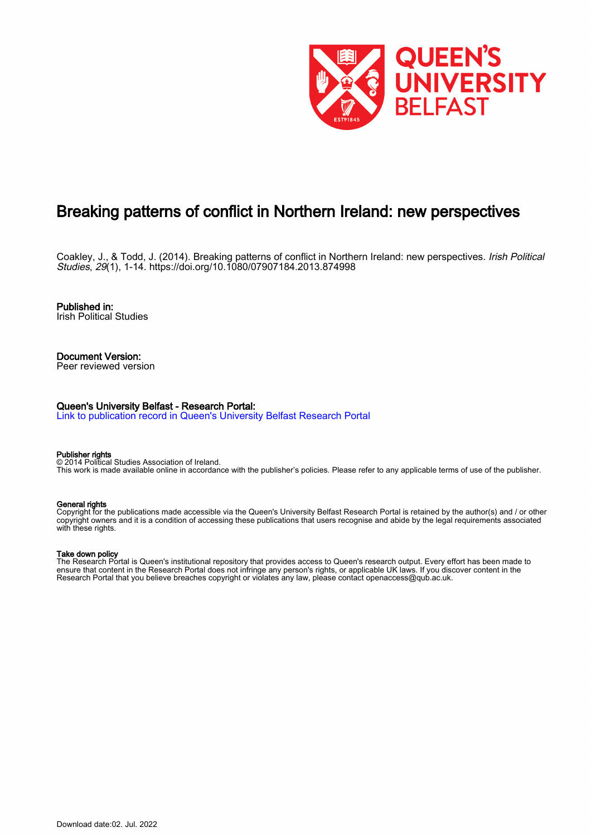

# Breaking patterns of conflict in Northern Ireland: new perspectives

Coakley, J., & Todd, J. (2014). Breaking patterns of conflict in Northern Ireland: new perspectives. Irish Political Studies, 29(1), 1-14.<https://doi.org/10.1080/07907184.2013.874998>

Published in: Irish Political Studies

Document Version: Peer reviewed version

#### Queen's University Belfast - Research Portal:

[Link to publication record in Queen's University Belfast Research Portal](https://pure.qub.ac.uk/en/publications/1f71572e-a60a-446b-bd89-945e26dc6903)

#### Publisher rights

© 2014 Political Studies Association of Ireland. This work is made available online in accordance with the publisher's policies. Please refer to any applicable terms of use of the publisher.

#### General rights

Copyright for the publications made accessible via the Queen's University Belfast Research Portal is retained by the author(s) and / or other copyright owners and it is a condition of accessing these publications that users recognise and abide by the legal requirements associated with these rights.

#### Take down policy

The Research Portal is Queen's institutional repository that provides access to Queen's research output. Every effort has been made to ensure that content in the Research Portal does not infringe any person's rights, or applicable UK laws. If you discover content in the Research Portal that you believe breaches copyright or violates any law, please contact openaccess@qub.ac.uk.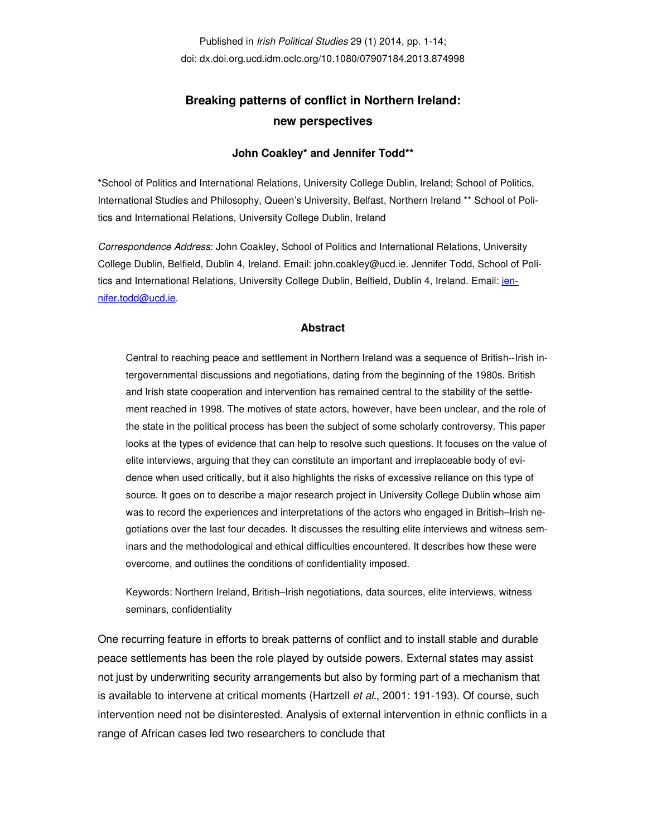Published in Irish Political Studies 29 (1) 2014, pp. 1-14; doi: dx.doi.org.ucd.idm.oclc.org/10.1080/07907184.2013.874998

# **Breaking patterns of conflict in Northern Ireland: new perspectives**

#### **John Coakley\* and Jennifer Todd\*\***

\*School of Politics and International Relations, University College Dublin, Ireland; School of Politics, International Studies and Philosophy, Queen's University, Belfast, Northern Ireland \*\* School of Politics and International Relations, University College Dublin, Ireland

Correspondence Address: John Coakley, School of Politics and International Relations, University College Dublin, Belfield, Dublin 4, Ireland. Email: john.coakley@ucd.ie. Jennifer Todd, School of Politics and International Relations, University College Dublin, Belfield, Dublin 4, Ireland. Email: jennifer.todd@ucd.ie.

#### **Abstract**

Central to reaching peace and settlement in Northern Ireland was a sequence of British--Irish intergovernmental discussions and negotiations, dating from the beginning of the 1980s. British and Irish state cooperation and intervention has remained central to the stability of the settlement reached in 1998. The motives of state actors, however, have been unclear, and the role of the state in the political process has been the subject of some scholarly controversy. This paper looks at the types of evidence that can help to resolve such questions. It focuses on the value of elite interviews, arguing that they can constitute an important and irreplaceable body of evidence when used critically, but it also highlights the risks of excessive reliance on this type of source. It goes on to describe a major research project in University College Dublin whose aim was to record the experiences and interpretations of the actors who engaged in British–Irish negotiations over the last four decades. It discusses the resulting elite interviews and witness seminars and the methodological and ethical difficulties encountered. It describes how these were overcome, and outlines the conditions of confidentiality imposed.

Keywords: Northern Ireland, British–Irish negotiations, data sources, elite interviews, witness seminars, confidentiality

One recurring feature in efforts to break patterns of conflict and to install stable and durable peace settlements has been the role played by outside powers. External states may assist not just by underwriting security arrangements but also by forming part of a mechanism that is available to intervene at critical moments (Hartzell et al., 2001: 191-193). Of course, such intervention need not be disinterested. Analysis of external intervention in ethnic conflicts in a range of African cases led two researchers to conclude that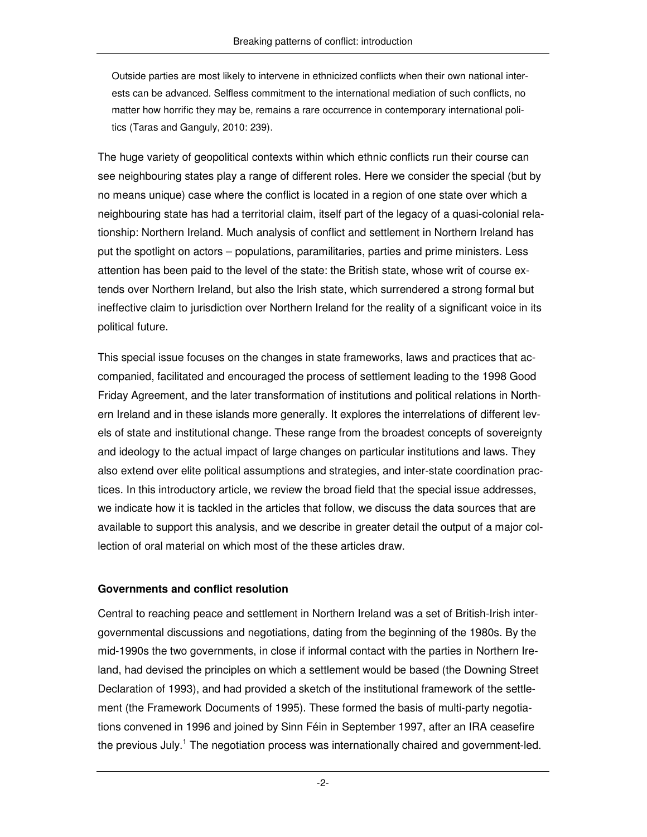Outside parties are most likely to intervene in ethnicized conflicts when their own national interests can be advanced. Selfless commitment to the international mediation of such conflicts, no matter how horrific they may be, remains a rare occurrence in contemporary international politics (Taras and Ganguly, 2010: 239).

The huge variety of geopolitical contexts within which ethnic conflicts run their course can see neighbouring states play a range of different roles. Here we consider the special (but by no means unique) case where the conflict is located in a region of one state over which a neighbouring state has had a territorial claim, itself part of the legacy of a quasi-colonial relationship: Northern Ireland. Much analysis of conflict and settlement in Northern Ireland has put the spotlight on actors – populations, paramilitaries, parties and prime ministers. Less attention has been paid to the level of the state: the British state, whose writ of course extends over Northern Ireland, but also the Irish state, which surrendered a strong formal but ineffective claim to jurisdiction over Northern Ireland for the reality of a significant voice in its political future.

This special issue focuses on the changes in state frameworks, laws and practices that accompanied, facilitated and encouraged the process of settlement leading to the 1998 Good Friday Agreement, and the later transformation of institutions and political relations in Northern Ireland and in these islands more generally. It explores the interrelations of different levels of state and institutional change. These range from the broadest concepts of sovereignty and ideology to the actual impact of large changes on particular institutions and laws. They also extend over elite political assumptions and strategies, and inter-state coordination practices. In this introductory article, we review the broad field that the special issue addresses, we indicate how it is tackled in the articles that follow, we discuss the data sources that are available to support this analysis, and we describe in greater detail the output of a major collection of oral material on which most of the these articles draw.

### **Governments and conflict resolution**

Central to reaching peace and settlement in Northern Ireland was a set of British-Irish intergovernmental discussions and negotiations, dating from the beginning of the 1980s. By the mid-1990s the two governments, in close if informal contact with the parties in Northern Ireland, had devised the principles on which a settlement would be based (the Downing Street Declaration of 1993), and had provided a sketch of the institutional framework of the settlement (the Framework Documents of 1995). These formed the basis of multi-party negotiations convened in 1996 and joined by Sinn Féin in September 1997, after an IRA ceasefire the previous July.<sup>1</sup> The negotiation process was internationally chaired and government-led.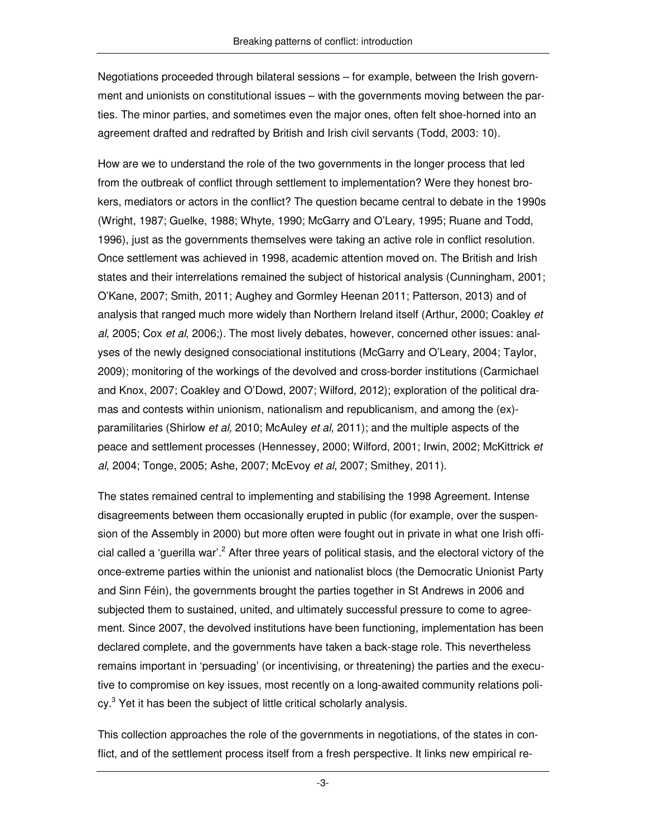Negotiations proceeded through bilateral sessions – for example, between the Irish government and unionists on constitutional issues – with the governments moving between the parties. The minor parties, and sometimes even the major ones, often felt shoe-horned into an agreement drafted and redrafted by British and Irish civil servants (Todd, 2003: 10).

How are we to understand the role of the two governments in the longer process that led from the outbreak of conflict through settlement to implementation? Were they honest brokers, mediators or actors in the conflict? The question became central to debate in the 1990s (Wright, 1987; Guelke, 1988; Whyte, 1990; McGarry and O'Leary, 1995; Ruane and Todd, 1996), just as the governments themselves were taking an active role in conflict resolution. Once settlement was achieved in 1998, academic attention moved on. The British and Irish states and their interrelations remained the subject of historical analysis (Cunningham, 2001; O'Kane, 2007; Smith, 2011; Aughey and Gormley Heenan 2011; Patterson, 2013) and of analysis that ranged much more widely than Northern Ireland itself (Arthur, 2000; Coakley et al, 2005; Cox et al, 2006;). The most lively debates, however, concerned other issues: analyses of the newly designed consociational institutions (McGarry and O'Leary, 2004; Taylor, 2009); monitoring of the workings of the devolved and cross-border institutions (Carmichael and Knox, 2007; Coakley and O'Dowd, 2007; Wilford, 2012); exploration of the political dramas and contests within unionism, nationalism and republicanism, and among the (ex) paramilitaries (Shirlow et al, 2010; McAuley et al, 2011); and the multiple aspects of the peace and settlement processes (Hennessey, 2000; Wilford, 2001; Irwin, 2002; McKittrick et al, 2004; Tonge, 2005; Ashe, 2007; McEvoy et al, 2007; Smithey, 2011).

The states remained central to implementing and stabilising the 1998 Agreement. Intense disagreements between them occasionally erupted in public (for example, over the suspension of the Assembly in 2000) but more often were fought out in private in what one Irish official called a 'guerilla war'.<sup>2</sup> After three years of political stasis, and the electoral victory of the once-extreme parties within the unionist and nationalist blocs (the Democratic Unionist Party and Sinn Féin), the governments brought the parties together in St Andrews in 2006 and subjected them to sustained, united, and ultimately successful pressure to come to agreement. Since 2007, the devolved institutions have been functioning, implementation has been declared complete, and the governments have taken a back-stage role. This nevertheless remains important in 'persuading' (or incentivising, or threatening) the parties and the executive to compromise on key issues, most recently on a long-awaited community relations policy.<sup>3</sup> Yet it has been the subject of little critical scholarly analysis.

This collection approaches the role of the governments in negotiations, of the states in conflict, and of the settlement process itself from a fresh perspective. It links new empirical re-

-3-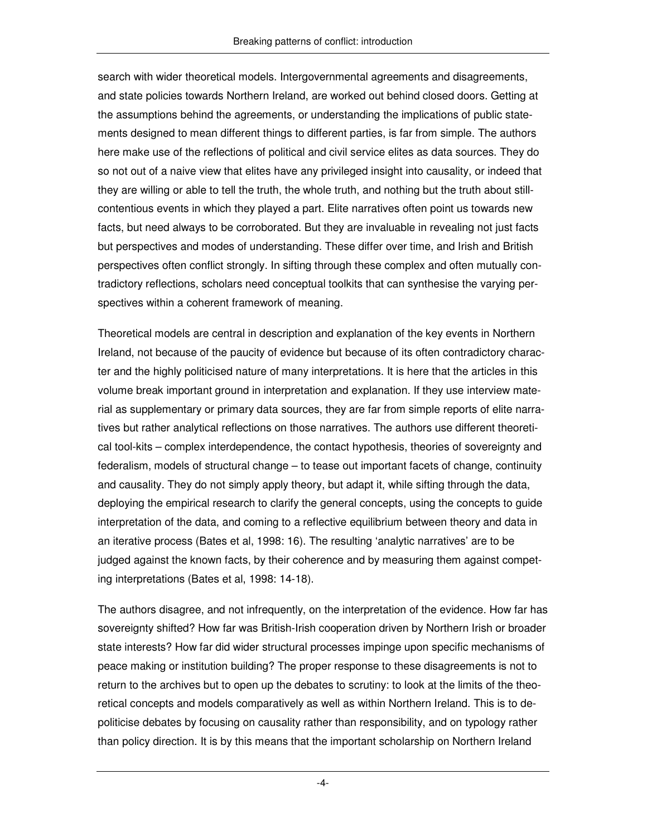search with wider theoretical models. Intergovernmental agreements and disagreements, and state policies towards Northern Ireland, are worked out behind closed doors. Getting at the assumptions behind the agreements, or understanding the implications of public statements designed to mean different things to different parties, is far from simple. The authors here make use of the reflections of political and civil service elites as data sources. They do so not out of a naive view that elites have any privileged insight into causality, or indeed that they are willing or able to tell the truth, the whole truth, and nothing but the truth about stillcontentious events in which they played a part. Elite narratives often point us towards new facts, but need always to be corroborated. But they are invaluable in revealing not just facts but perspectives and modes of understanding. These differ over time, and Irish and British perspectives often conflict strongly. In sifting through these complex and often mutually contradictory reflections, scholars need conceptual toolkits that can synthesise the varying perspectives within a coherent framework of meaning.

Theoretical models are central in description and explanation of the key events in Northern Ireland, not because of the paucity of evidence but because of its often contradictory character and the highly politicised nature of many interpretations. It is here that the articles in this volume break important ground in interpretation and explanation. If they use interview material as supplementary or primary data sources, they are far from simple reports of elite narratives but rather analytical reflections on those narratives. The authors use different theoretical tool-kits – complex interdependence, the contact hypothesis, theories of sovereignty and federalism, models of structural change – to tease out important facets of change, continuity and causality. They do not simply apply theory, but adapt it, while sifting through the data, deploying the empirical research to clarify the general concepts, using the concepts to guide interpretation of the data, and coming to a reflective equilibrium between theory and data in an iterative process (Bates et al, 1998: 16). The resulting 'analytic narratives' are to be judged against the known facts, by their coherence and by measuring them against competing interpretations (Bates et al, 1998: 14-18).

The authors disagree, and not infrequently, on the interpretation of the evidence. How far has sovereignty shifted? How far was British-Irish cooperation driven by Northern Irish or broader state interests? How far did wider structural processes impinge upon specific mechanisms of peace making or institution building? The proper response to these disagreements is not to return to the archives but to open up the debates to scrutiny: to look at the limits of the theoretical concepts and models comparatively as well as within Northern Ireland. This is to depoliticise debates by focusing on causality rather than responsibility, and on typology rather than policy direction. It is by this means that the important scholarship on Northern Ireland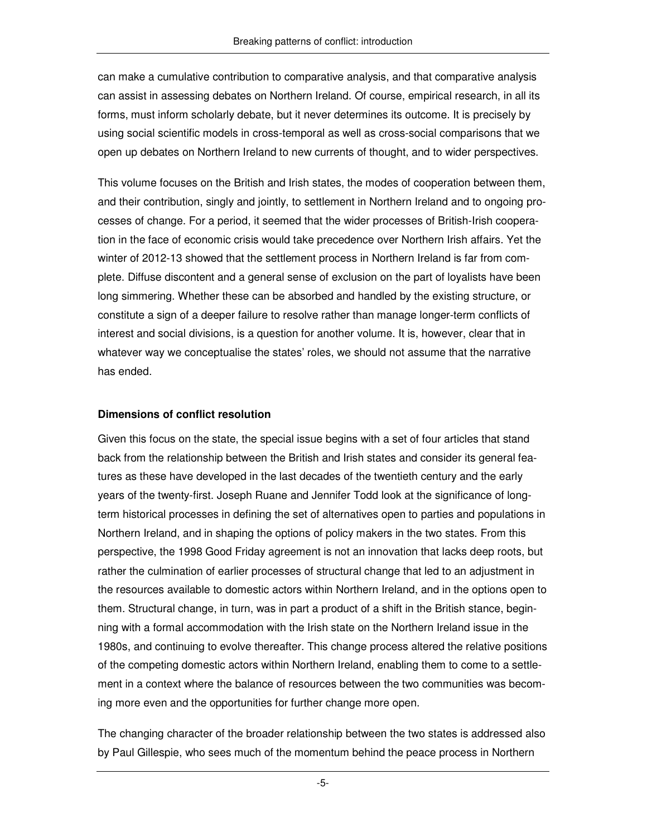can make a cumulative contribution to comparative analysis, and that comparative analysis can assist in assessing debates on Northern Ireland. Of course, empirical research, in all its forms, must inform scholarly debate, but it never determines its outcome. It is precisely by using social scientific models in cross-temporal as well as cross-social comparisons that we open up debates on Northern Ireland to new currents of thought, and to wider perspectives.

This volume focuses on the British and Irish states, the modes of cooperation between them, and their contribution, singly and jointly, to settlement in Northern Ireland and to ongoing processes of change. For a period, it seemed that the wider processes of British-Irish cooperation in the face of economic crisis would take precedence over Northern Irish affairs. Yet the winter of 2012-13 showed that the settlement process in Northern Ireland is far from complete. Diffuse discontent and a general sense of exclusion on the part of loyalists have been long simmering. Whether these can be absorbed and handled by the existing structure, or constitute a sign of a deeper failure to resolve rather than manage longer-term conflicts of interest and social divisions, is a question for another volume. It is, however, clear that in whatever way we conceptualise the states' roles, we should not assume that the narrative has ended.

### **Dimensions of conflict resolution**

Given this focus on the state, the special issue begins with a set of four articles that stand back from the relationship between the British and Irish states and consider its general features as these have developed in the last decades of the twentieth century and the early years of the twenty-first. Joseph Ruane and Jennifer Todd look at the significance of longterm historical processes in defining the set of alternatives open to parties and populations in Northern Ireland, and in shaping the options of policy makers in the two states. From this perspective, the 1998 Good Friday agreement is not an innovation that lacks deep roots, but rather the culmination of earlier processes of structural change that led to an adjustment in the resources available to domestic actors within Northern Ireland, and in the options open to them. Structural change, in turn, was in part a product of a shift in the British stance, beginning with a formal accommodation with the Irish state on the Northern Ireland issue in the 1980s, and continuing to evolve thereafter. This change process altered the relative positions of the competing domestic actors within Northern Ireland, enabling them to come to a settlement in a context where the balance of resources between the two communities was becoming more even and the opportunities for further change more open.

The changing character of the broader relationship between the two states is addressed also by Paul Gillespie, who sees much of the momentum behind the peace process in Northern

-5-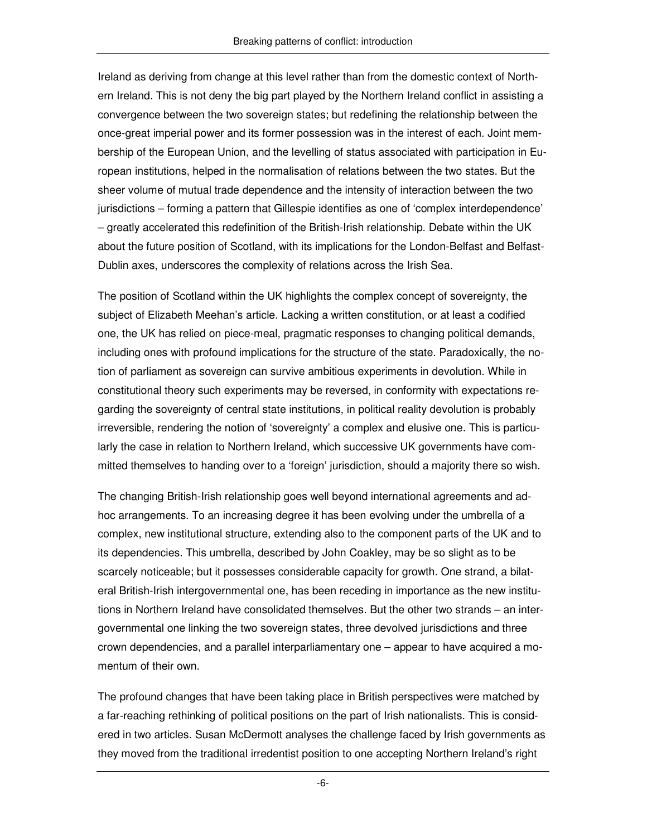Ireland as deriving from change at this level rather than from the domestic context of Northern Ireland. This is not deny the big part played by the Northern Ireland conflict in assisting a convergence between the two sovereign states; but redefining the relationship between the once-great imperial power and its former possession was in the interest of each. Joint membership of the European Union, and the levelling of status associated with participation in European institutions, helped in the normalisation of relations between the two states. But the sheer volume of mutual trade dependence and the intensity of interaction between the two jurisdictions – forming a pattern that Gillespie identifies as one of 'complex interdependence' – greatly accelerated this redefinition of the British-Irish relationship. Debate within the UK about the future position of Scotland, with its implications for the London-Belfast and Belfast-Dublin axes, underscores the complexity of relations across the Irish Sea.

The position of Scotland within the UK highlights the complex concept of sovereignty, the subject of Elizabeth Meehan's article. Lacking a written constitution, or at least a codified one, the UK has relied on piece-meal, pragmatic responses to changing political demands, including ones with profound implications for the structure of the state. Paradoxically, the notion of parliament as sovereign can survive ambitious experiments in devolution. While in constitutional theory such experiments may be reversed, in conformity with expectations regarding the sovereignty of central state institutions, in political reality devolution is probably irreversible, rendering the notion of 'sovereignty' a complex and elusive one. This is particularly the case in relation to Northern Ireland, which successive UK governments have committed themselves to handing over to a 'foreign' jurisdiction, should a majority there so wish.

The changing British-Irish relationship goes well beyond international agreements and adhoc arrangements. To an increasing degree it has been evolving under the umbrella of a complex, new institutional structure, extending also to the component parts of the UK and to its dependencies. This umbrella, described by John Coakley, may be so slight as to be scarcely noticeable; but it possesses considerable capacity for growth. One strand, a bilateral British-Irish intergovernmental one, has been receding in importance as the new institutions in Northern Ireland have consolidated themselves. But the other two strands – an intergovernmental one linking the two sovereign states, three devolved jurisdictions and three crown dependencies, and a parallel interparliamentary one – appear to have acquired a momentum of their own.

The profound changes that have been taking place in British perspectives were matched by a far-reaching rethinking of political positions on the part of Irish nationalists. This is considered in two articles. Susan McDermott analyses the challenge faced by Irish governments as they moved from the traditional irredentist position to one accepting Northern Ireland's right

-6-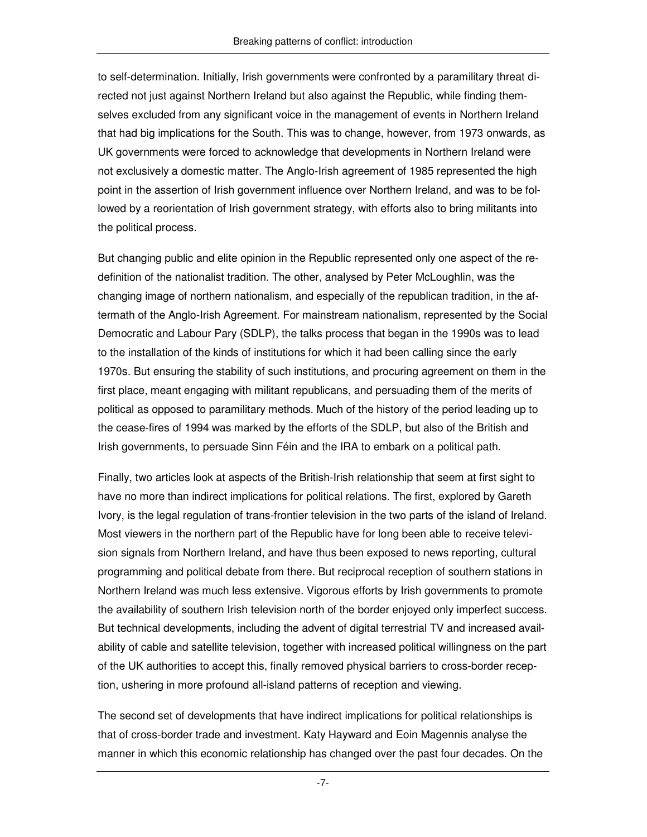to self-determination. Initially, Irish governments were confronted by a paramilitary threat directed not just against Northern Ireland but also against the Republic, while finding themselves excluded from any significant voice in the management of events in Northern Ireland that had big implications for the South. This was to change, however, from 1973 onwards, as UK governments were forced to acknowledge that developments in Northern Ireland were not exclusively a domestic matter. The Anglo-Irish agreement of 1985 represented the high point in the assertion of Irish government influence over Northern Ireland, and was to be followed by a reorientation of Irish government strategy, with efforts also to bring militants into the political process.

But changing public and elite opinion in the Republic represented only one aspect of the redefinition of the nationalist tradition. The other, analysed by Peter McLoughlin, was the changing image of northern nationalism, and especially of the republican tradition, in the aftermath of the Anglo-Irish Agreement. For mainstream nationalism, represented by the Social Democratic and Labour Pary (SDLP), the talks process that began in the 1990s was to lead to the installation of the kinds of institutions for which it had been calling since the early 1970s. But ensuring the stability of such institutions, and procuring agreement on them in the first place, meant engaging with militant republicans, and persuading them of the merits of political as opposed to paramilitary methods. Much of the history of the period leading up to the cease-fires of 1994 was marked by the efforts of the SDLP, but also of the British and Irish governments, to persuade Sinn Féin and the IRA to embark on a political path.

Finally, two articles look at aspects of the British-Irish relationship that seem at first sight to have no more than indirect implications for political relations. The first, explored by Gareth Ivory, is the legal regulation of trans-frontier television in the two parts of the island of Ireland. Most viewers in the northern part of the Republic have for long been able to receive television signals from Northern Ireland, and have thus been exposed to news reporting, cultural programming and political debate from there. But reciprocal reception of southern stations in Northern Ireland was much less extensive. Vigorous efforts by Irish governments to promote the availability of southern Irish television north of the border enjoyed only imperfect success. But technical developments, including the advent of digital terrestrial TV and increased availability of cable and satellite television, together with increased political willingness on the part of the UK authorities to accept this, finally removed physical barriers to cross-border reception, ushering in more profound all-island patterns of reception and viewing.

The second set of developments that have indirect implications for political relationships is that of cross-border trade and investment. Katy Hayward and Eoin Magennis analyse the manner in which this economic relationship has changed over the past four decades. On the

-7-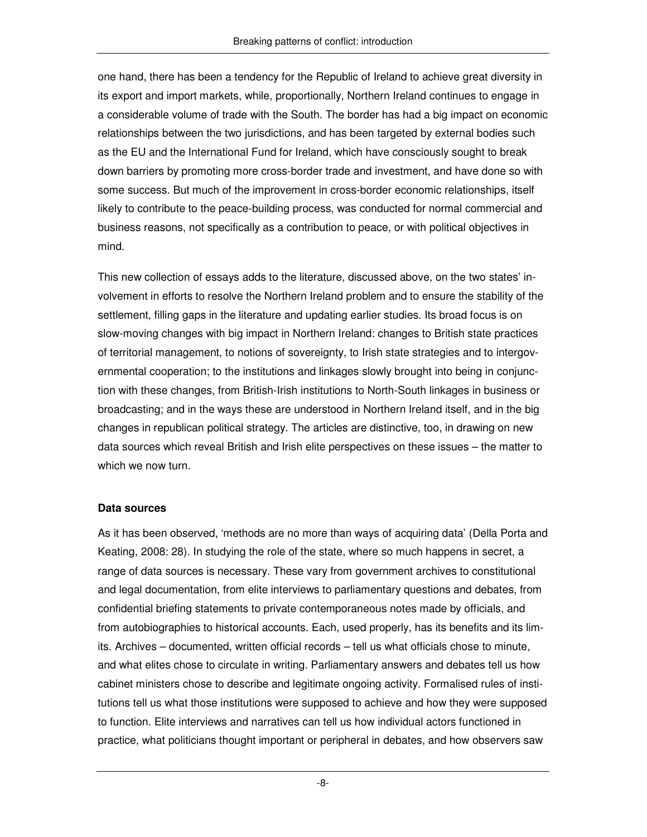one hand, there has been a tendency for the Republic of Ireland to achieve great diversity in its export and import markets, while, proportionally, Northern Ireland continues to engage in a considerable volume of trade with the South. The border has had a big impact on economic relationships between the two jurisdictions, and has been targeted by external bodies such as the EU and the International Fund for Ireland, which have consciously sought to break down barriers by promoting more cross-border trade and investment, and have done so with some success. But much of the improvement in cross-border economic relationships, itself likely to contribute to the peace-building process, was conducted for normal commercial and business reasons, not specifically as a contribution to peace, or with political objectives in mind.

This new collection of essays adds to the literature, discussed above, on the two states' involvement in efforts to resolve the Northern Ireland problem and to ensure the stability of the settlement, filling gaps in the literature and updating earlier studies. Its broad focus is on slow-moving changes with big impact in Northern Ireland: changes to British state practices of territorial management, to notions of sovereignty, to Irish state strategies and to intergovernmental cooperation; to the institutions and linkages slowly brought into being in conjunction with these changes, from British-Irish institutions to North-South linkages in business or broadcasting; and in the ways these are understood in Northern Ireland itself, and in the big changes in republican political strategy. The articles are distinctive, too, in drawing on new data sources which reveal British and Irish elite perspectives on these issues – the matter to which we now turn.

### **Data sources**

As it has been observed, 'methods are no more than ways of acquiring data' (Della Porta and Keating, 2008: 28). In studying the role of the state, where so much happens in secret, a range of data sources is necessary. These vary from government archives to constitutional and legal documentation, from elite interviews to parliamentary questions and debates, from confidential briefing statements to private contemporaneous notes made by officials, and from autobiographies to historical accounts. Each, used properly, has its benefits and its limits. Archives – documented, written official records – tell us what officials chose to minute, and what elites chose to circulate in writing. Parliamentary answers and debates tell us how cabinet ministers chose to describe and legitimate ongoing activity. Formalised rules of institutions tell us what those institutions were supposed to achieve and how they were supposed to function. Elite interviews and narratives can tell us how individual actors functioned in practice, what politicians thought important or peripheral in debates, and how observers saw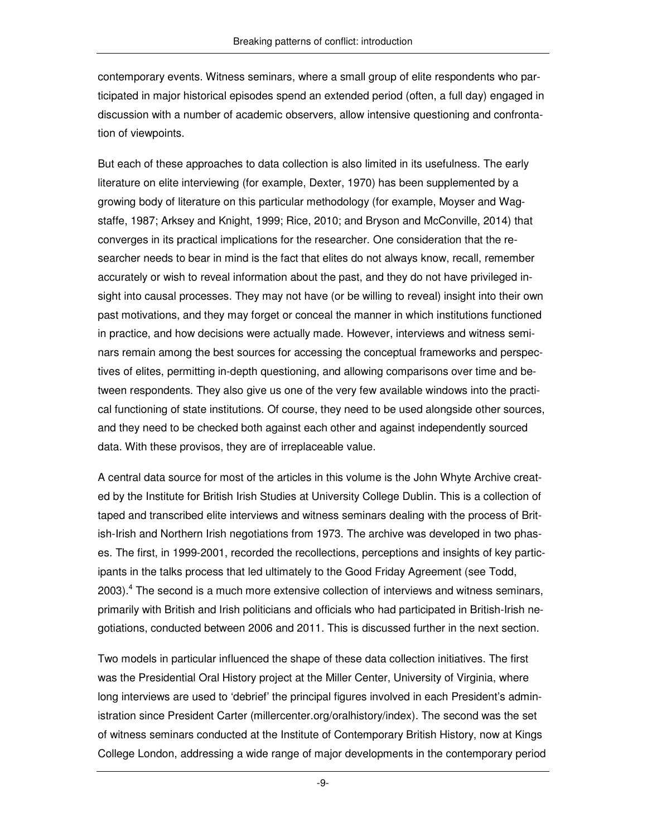contemporary events. Witness seminars, where a small group of elite respondents who participated in major historical episodes spend an extended period (often, a full day) engaged in discussion with a number of academic observers, allow intensive questioning and confrontation of viewpoints.

But each of these approaches to data collection is also limited in its usefulness. The early literature on elite interviewing (for example, Dexter, 1970) has been supplemented by a growing body of literature on this particular methodology (for example, Moyser and Wagstaffe, 1987; Arksey and Knight, 1999; Rice, 2010; and Bryson and McConville, 2014) that converges in its practical implications for the researcher. One consideration that the researcher needs to bear in mind is the fact that elites do not always know, recall, remember accurately or wish to reveal information about the past, and they do not have privileged insight into causal processes. They may not have (or be willing to reveal) insight into their own past motivations, and they may forget or conceal the manner in which institutions functioned in practice, and how decisions were actually made. However, interviews and witness seminars remain among the best sources for accessing the conceptual frameworks and perspectives of elites, permitting in-depth questioning, and allowing comparisons over time and between respondents. They also give us one of the very few available windows into the practical functioning of state institutions. Of course, they need to be used alongside other sources, and they need to be checked both against each other and against independently sourced data. With these provisos, they are of irreplaceable value.

A central data source for most of the articles in this volume is the John Whyte Archive created by the Institute for British Irish Studies at University College Dublin. This is a collection of taped and transcribed elite interviews and witness seminars dealing with the process of British-Irish and Northern Irish negotiations from 1973. The archive was developed in two phases. The first, in 1999-2001, recorded the recollections, perceptions and insights of key participants in the talks process that led ultimately to the Good Friday Agreement (see Todd, 2003).<sup>4</sup> The second is a much more extensive collection of interviews and witness seminars, primarily with British and Irish politicians and officials who had participated in British-Irish negotiations, conducted between 2006 and 2011. This is discussed further in the next section.

Two models in particular influenced the shape of these data collection initiatives. The first was the Presidential Oral History project at the Miller Center, University of Virginia, where long interviews are used to 'debrief' the principal figures involved in each President's administration since President Carter (millercenter.org/oralhistory/index). The second was the set of witness seminars conducted at the Institute of Contemporary British History, now at Kings College London, addressing a wide range of major developments in the contemporary period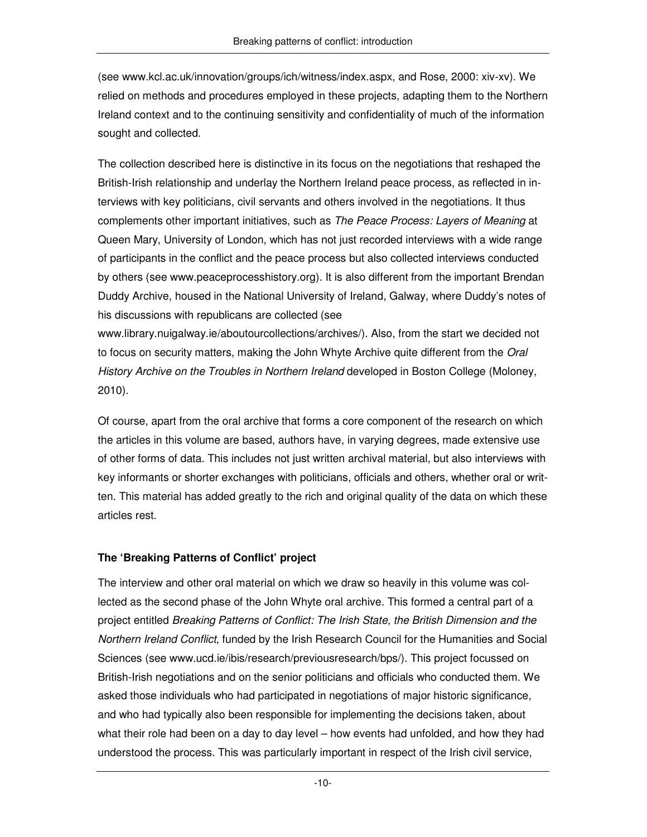(see www.kcl.ac.uk/innovation/groups/ich/witness/index.aspx, and Rose, 2000: xiv-xv). We relied on methods and procedures employed in these projects, adapting them to the Northern Ireland context and to the continuing sensitivity and confidentiality of much of the information sought and collected.

The collection described here is distinctive in its focus on the negotiations that reshaped the British-Irish relationship and underlay the Northern Ireland peace process, as reflected in interviews with key politicians, civil servants and others involved in the negotiations. It thus complements other important initiatives, such as The Peace Process: Layers of Meaning at Queen Mary, University of London, which has not just recorded interviews with a wide range of participants in the conflict and the peace process but also collected interviews conducted by others (see www.peaceprocesshistory.org). It is also different from the important Brendan Duddy Archive, housed in the National University of Ireland, Galway, where Duddy's notes of his discussions with republicans are collected (see

www.library.nuigalway.ie/aboutourcollections/archives/). Also, from the start we decided not to focus on security matters, making the John Whyte Archive quite different from the Oral History Archive on the Troubles in Northern Ireland developed in Boston College (Moloney, 2010).

Of course, apart from the oral archive that forms a core component of the research on which the articles in this volume are based, authors have, in varying degrees, made extensive use of other forms of data. This includes not just written archival material, but also interviews with key informants or shorter exchanges with politicians, officials and others, whether oral or written. This material has added greatly to the rich and original quality of the data on which these articles rest.

## **The 'Breaking Patterns of Conflict' project**

The interview and other oral material on which we draw so heavily in this volume was collected as the second phase of the John Whyte oral archive. This formed a central part of a project entitled Breaking Patterns of Conflict: The Irish State, the British Dimension and the Northern Ireland Conflict, funded by the Irish Research Council for the Humanities and Social Sciences (see www.ucd.ie/ibis/research/previousresearch/bps/). This project focussed on British-Irish negotiations and on the senior politicians and officials who conducted them. We asked those individuals who had participated in negotiations of major historic significance, and who had typically also been responsible for implementing the decisions taken, about what their role had been on a day to day level – how events had unfolded, and how they had understood the process. This was particularly important in respect of the Irish civil service,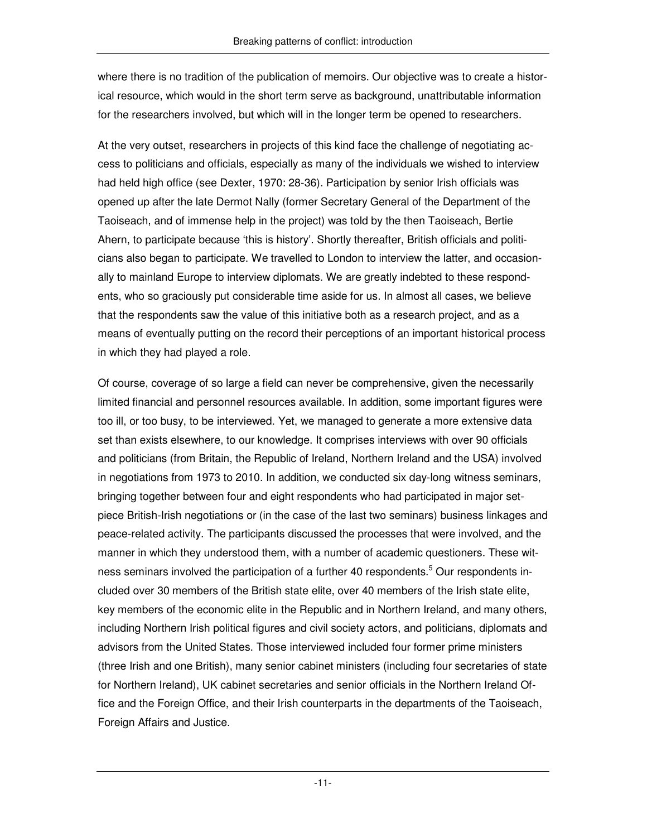where there is no tradition of the publication of memoirs. Our objective was to create a historical resource, which would in the short term serve as background, unattributable information for the researchers involved, but which will in the longer term be opened to researchers.

At the very outset, researchers in projects of this kind face the challenge of negotiating access to politicians and officials, especially as many of the individuals we wished to interview had held high office (see Dexter, 1970: 28-36). Participation by senior Irish officials was opened up after the late Dermot Nally (former Secretary General of the Department of the Taoiseach, and of immense help in the project) was told by the then Taoiseach, Bertie Ahern, to participate because 'this is history'. Shortly thereafter, British officials and politicians also began to participate. We travelled to London to interview the latter, and occasionally to mainland Europe to interview diplomats. We are greatly indebted to these respondents, who so graciously put considerable time aside for us. In almost all cases, we believe that the respondents saw the value of this initiative both as a research project, and as a means of eventually putting on the record their perceptions of an important historical process in which they had played a role.

Of course, coverage of so large a field can never be comprehensive, given the necessarily limited financial and personnel resources available. In addition, some important figures were too ill, or too busy, to be interviewed. Yet, we managed to generate a more extensive data set than exists elsewhere, to our knowledge. It comprises interviews with over 90 officials and politicians (from Britain, the Republic of Ireland, Northern Ireland and the USA) involved in negotiations from 1973 to 2010. In addition, we conducted six day-long witness seminars, bringing together between four and eight respondents who had participated in major setpiece British-Irish negotiations or (in the case of the last two seminars) business linkages and peace-related activity. The participants discussed the processes that were involved, and the manner in which they understood them, with a number of academic questioners. These witness seminars involved the participation of a further 40 respondents.<sup>5</sup> Our respondents included over 30 members of the British state elite, over 40 members of the Irish state elite, key members of the economic elite in the Republic and in Northern Ireland, and many others, including Northern Irish political figures and civil society actors, and politicians, diplomats and advisors from the United States. Those interviewed included four former prime ministers (three Irish and one British), many senior cabinet ministers (including four secretaries of state for Northern Ireland), UK cabinet secretaries and senior officials in the Northern Ireland Office and the Foreign Office, and their Irish counterparts in the departments of the Taoiseach, Foreign Affairs and Justice.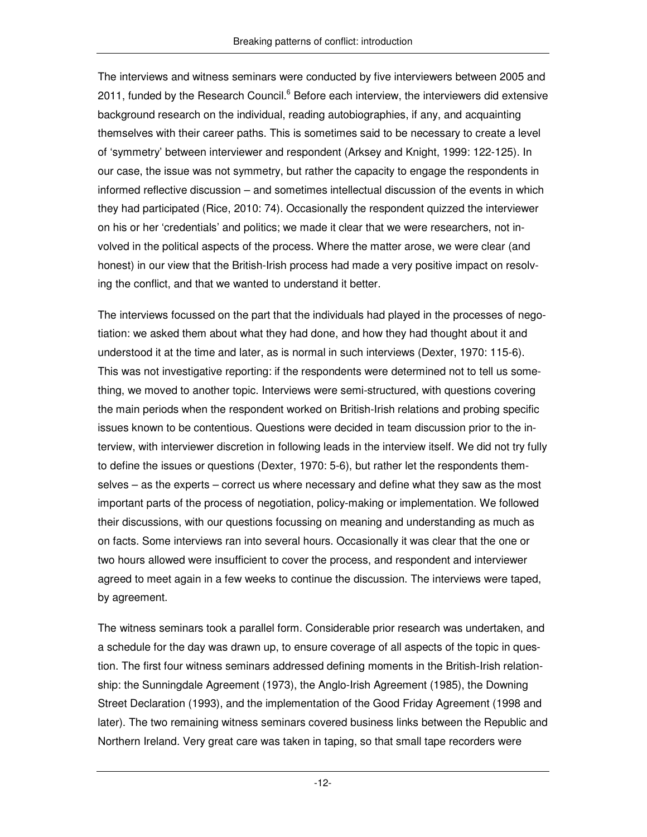The interviews and witness seminars were conducted by five interviewers between 2005 and 2011, funded by the Research Council.<sup>6</sup> Before each interview, the interviewers did extensive background research on the individual, reading autobiographies, if any, and acquainting themselves with their career paths. This is sometimes said to be necessary to create a level of 'symmetry' between interviewer and respondent (Arksey and Knight, 1999: 122-125). In our case, the issue was not symmetry, but rather the capacity to engage the respondents in informed reflective discussion – and sometimes intellectual discussion of the events in which they had participated (Rice, 2010: 74). Occasionally the respondent quizzed the interviewer on his or her 'credentials' and politics; we made it clear that we were researchers, not involved in the political aspects of the process. Where the matter arose, we were clear (and honest) in our view that the British-Irish process had made a very positive impact on resolving the conflict, and that we wanted to understand it better.

The interviews focussed on the part that the individuals had played in the processes of negotiation: we asked them about what they had done, and how they had thought about it and understood it at the time and later, as is normal in such interviews (Dexter, 1970: 115-6). This was not investigative reporting: if the respondents were determined not to tell us something, we moved to another topic. Interviews were semi-structured, with questions covering the main periods when the respondent worked on British-Irish relations and probing specific issues known to be contentious. Questions were decided in team discussion prior to the interview, with interviewer discretion in following leads in the interview itself. We did not try fully to define the issues or questions (Dexter, 1970: 5-6), but rather let the respondents themselves – as the experts – correct us where necessary and define what they saw as the most important parts of the process of negotiation, policy-making or implementation. We followed their discussions, with our questions focussing on meaning and understanding as much as on facts. Some interviews ran into several hours. Occasionally it was clear that the one or two hours allowed were insufficient to cover the process, and respondent and interviewer agreed to meet again in a few weeks to continue the discussion. The interviews were taped, by agreement.

The witness seminars took a parallel form. Considerable prior research was undertaken, and a schedule for the day was drawn up, to ensure coverage of all aspects of the topic in question. The first four witness seminars addressed defining moments in the British-Irish relationship: the Sunningdale Agreement (1973), the Anglo-Irish Agreement (1985), the Downing Street Declaration (1993), and the implementation of the Good Friday Agreement (1998 and later). The two remaining witness seminars covered business links between the Republic and Northern Ireland. Very great care was taken in taping, so that small tape recorders were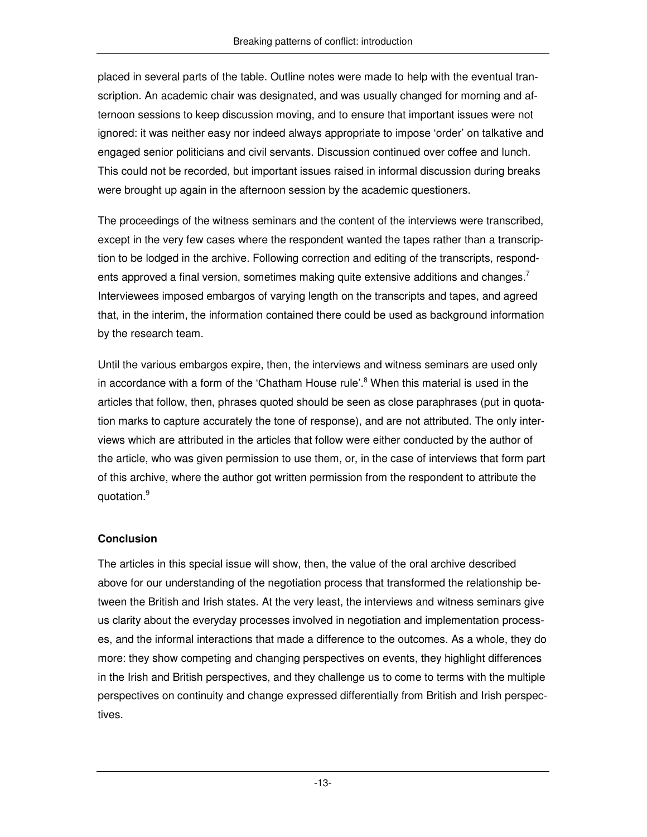placed in several parts of the table. Outline notes were made to help with the eventual transcription. An academic chair was designated, and was usually changed for morning and afternoon sessions to keep discussion moving, and to ensure that important issues were not ignored: it was neither easy nor indeed always appropriate to impose 'order' on talkative and engaged senior politicians and civil servants. Discussion continued over coffee and lunch. This could not be recorded, but important issues raised in informal discussion during breaks were brought up again in the afternoon session by the academic questioners.

The proceedings of the witness seminars and the content of the interviews were transcribed, except in the very few cases where the respondent wanted the tapes rather than a transcription to be lodged in the archive. Following correction and editing of the transcripts, respondents approved a final version, sometimes making quite extensive additions and changes.<sup>7</sup> Interviewees imposed embargos of varying length on the transcripts and tapes, and agreed that, in the interim, the information contained there could be used as background information by the research team.

Until the various embargos expire, then, the interviews and witness seminars are used only in accordance with a form of the 'Chatham House rule'.<sup>8</sup> When this material is used in the articles that follow, then, phrases quoted should be seen as close paraphrases (put in quotation marks to capture accurately the tone of response), and are not attributed. The only interviews which are attributed in the articles that follow were either conducted by the author of the article, who was given permission to use them, or, in the case of interviews that form part of this archive, where the author got written permission from the respondent to attribute the quotation.<sup>9</sup>

### **Conclusion**

The articles in this special issue will show, then, the value of the oral archive described above for our understanding of the negotiation process that transformed the relationship between the British and Irish states. At the very least, the interviews and witness seminars give us clarity about the everyday processes involved in negotiation and implementation processes, and the informal interactions that made a difference to the outcomes. As a whole, they do more: they show competing and changing perspectives on events, they highlight differences in the Irish and British perspectives, and they challenge us to come to terms with the multiple perspectives on continuity and change expressed differentially from British and Irish perspectives.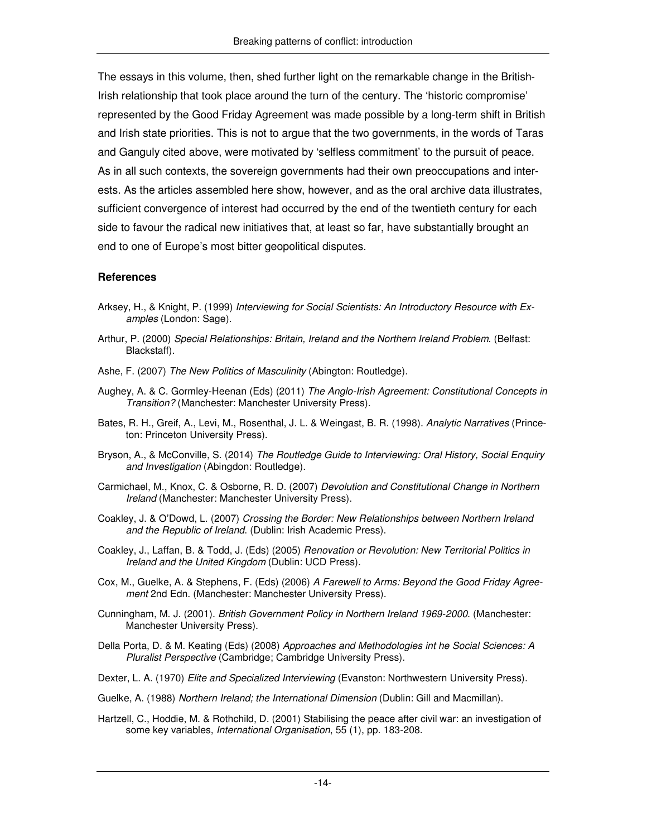The essays in this volume, then, shed further light on the remarkable change in the British-Irish relationship that took place around the turn of the century. The 'historic compromise' represented by the Good Friday Agreement was made possible by a long-term shift in British and Irish state priorities. This is not to argue that the two governments, in the words of Taras and Ganguly cited above, were motivated by 'selfless commitment' to the pursuit of peace. As in all such contexts, the sovereign governments had their own preoccupations and interests. As the articles assembled here show, however, and as the oral archive data illustrates, sufficient convergence of interest had occurred by the end of the twentieth century for each side to favour the radical new initiatives that, at least so far, have substantially brought an end to one of Europe's most bitter geopolitical disputes.

### **References**

- Arksey, H., & Knight, P. (1999) Interviewing for Social Scientists: An Introductory Resource with Examples (London: Sage).
- Arthur, P. (2000) Special Relationships: Britain, Ireland and the Northern Ireland Problem. (Belfast: Blackstaff).
- Ashe, F. (2007) The New Politics of Masculinity (Abington: Routledge).
- Aughey, A. & C. Gormley-Heenan (Eds) (2011) The Anglo-Irish Agreement: Constitutional Concepts in Transition? (Manchester: Manchester University Press).
- Bates, R. H., Greif, A., Levi, M., Rosenthal, J. L. & Weingast, B. R. (1998). Analytic Narratives (Princeton: Princeton University Press).
- Bryson, A., & McConville, S. (2014) The Routledge Guide to Interviewing: Oral History, Social Enquiry and Investigation (Abingdon: Routledge).
- Carmichael, M., Knox, C. & Osborne, R. D. (2007) Devolution and Constitutional Change in Northern Ireland (Manchester: Manchester University Press).
- Coakley, J. & O'Dowd, L. (2007) Crossing the Border: New Relationships between Northern Ireland and the Republic of Ireland. (Dublin: Irish Academic Press).
- Coakley, J., Laffan, B. & Todd, J. (Eds) (2005) Renovation or Revolution: New Territorial Politics in Ireland and the United Kingdom (Dublin: UCD Press).
- Cox, M., Guelke, A. & Stephens, F. (Eds) (2006) A Farewell to Arms: Beyond the Good Friday Agreement 2nd Edn. (Manchester: Manchester University Press).
- Cunningham, M. J. (2001). British Government Policy in Northern Ireland 1969-2000. (Manchester: Manchester University Press).
- Della Porta, D. & M. Keating (Eds) (2008) Approaches and Methodologies int he Social Sciences: A Pluralist Perspective (Cambridge; Cambridge University Press).
- Dexter, L. A. (1970) Elite and Specialized Interviewing (Evanston: Northwestern University Press).
- Guelke, A. (1988) Northern Ireland; the International Dimension (Dublin: Gill and Macmillan).
- Hartzell, C., Hoddie, M. & Rothchild, D. (2001) Stabilising the peace after civil war: an investigation of some key variables, International Organisation, 55 (1), pp. 183-208.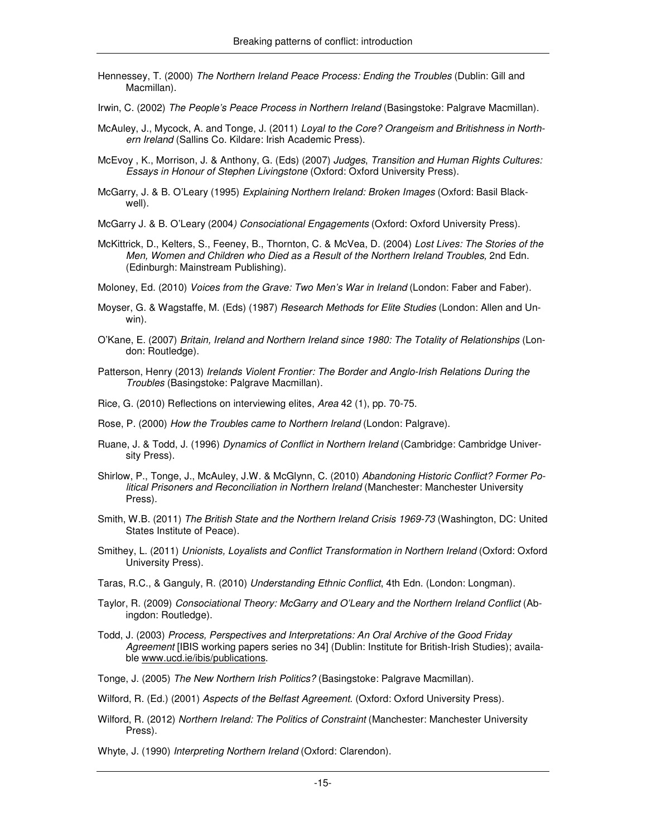- Hennessey, T. (2000) The Northern Ireland Peace Process: Ending the Troubles (Dublin: Gill and Macmillan).
- Irwin, C. (2002) The People's Peace Process in Northern Ireland (Basingstoke: Palgrave Macmillan).
- McAuley, J., Mycock, A. and Tonge, J. (2011) Loyal to the Core? Orangeism and Britishness in Northern Ireland (Sallins Co. Kildare: Irish Academic Press).
- McEvoy , K., Morrison, J. & Anthony, G. (Eds) (2007) Judges, Transition and Human Rights Cultures: Essays in Honour of Stephen Livingstone (Oxford: Oxford University Press).
- McGarry, J. & B. O'Leary (1995) Explaining Northern Ireland: Broken Images (Oxford: Basil Blackwell).
- McGarry J. & B. O'Leary (2004) Consociational Engagements (Oxford: Oxford University Press).
- McKittrick, D., Kelters, S., Feeney, B., Thornton, C. & McVea, D. (2004) Lost Lives: The Stories of the Men, Women and Children who Died as a Result of the Northern Ireland Troubles, 2nd Edn. (Edinburgh: Mainstream Publishing).
- Moloney, Ed. (2010) *Voices from the Grave: Two Men's War in Ireland* (London: Faber and Faber).
- Moyser, G. & Wagstaffe, M. (Eds) (1987) Research Methods for Elite Studies (London: Allen and Unwin).
- O'Kane, E. (2007) Britain, Ireland and Northern Ireland since 1980: The Totality of Relationships (London: Routledge).
- Patterson, Henry (2013) Irelands Violent Frontier: The Border and Anglo-Irish Relations During the Troubles (Basingstoke: Palgrave Macmillan).
- Rice, G. (2010) Reflections on interviewing elites, Area 42 (1), pp. 70-75.
- Rose, P. (2000) How the Troubles came to Northern Ireland (London: Palgrave).
- Ruane, J. & Todd, J. (1996) Dynamics of Conflict in Northern Ireland (Cambridge: Cambridge University Press).
- Shirlow, P., Tonge, J., McAuley, J.W. & McGlynn, C. (2010) Abandoning Historic Conflict? Former Political Prisoners and Reconciliation in Northern Ireland (Manchester: Manchester University Press).
- Smith, W.B. (2011) The British State and the Northern Ireland Crisis 1969-73 (Washington, DC: United States Institute of Peace).
- Smithey, L. (2011) Unionists, Loyalists and Conflict Transformation in Northern Ireland (Oxford: Oxford University Press).
- Taras, R.C., & Ganguly, R. (2010) Understanding Ethnic Conflict, 4th Edn. (London: Longman).
- Taylor, R. (2009) Consociational Theory: McGarry and O'Leary and the Northern Ireland Conflict (Abingdon: Routledge).
- Todd, J. (2003) Process, Perspectives and Interpretations: An Oral Archive of the Good Friday Agreement [IBIS working papers series no 34] (Dublin: Institute for British-Irish Studies); available www.ucd.ie/ibis/publications.
- Tonge, J. (2005) The New Northern Irish Politics? (Basingstoke: Palgrave Macmillan).
- Wilford, R. (Ed.) (2001) Aspects of the Belfast Agreement. (Oxford: Oxford University Press).
- Wilford, R. (2012) Northern Ireland: The Politics of Constraint (Manchester: Manchester University Press).

Whyte, J. (1990) Interpreting Northern Ireland (Oxford: Clarendon).